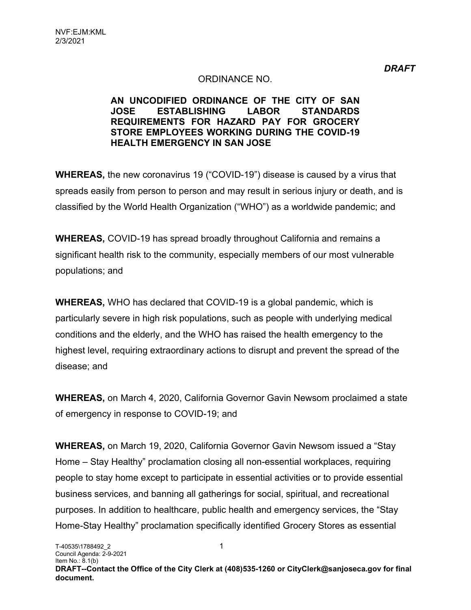#### ORDINANCE NO.

#### AN UNCODIFIED ORDINANCE OF THE CITY OF SAN JOSE ESTABLISHING LABOR STANDARDS REQUIREMENTS FOR HAZARD PAY FOR GROCERY STORE EMPLOYEES WORKING DURING THE COVID-19 HEALTH EMERGENCY IN SAN JOSE

WHEREAS, the new coronavirus 19 ("COVID-19") disease is caused by a virus that spreads easily from person to person and may result in serious injury or death, and is classified by the World Health Organization ("WHO") as a worldwide pandemic; and

WHEREAS, COVID-19 has spread broadly throughout California and remains a significant health risk to the community, especially members of our most vulnerable populations; and

WHEREAS, WHO has declared that COVID-19 is a global pandemic, which is particularly severe in high risk populations, such as people with underlying medical conditions and the elderly, and the WHO has raised the health emergency to the highest level, requiring extraordinary actions to disrupt and prevent the spread of the disease; and

WHEREAS, on March 4, 2020, California Governor Gavin Newsom proclaimed a state of emergency in response to COVID-19; and

WHEREAS, on March 19, 2020, California Governor Gavin Newsom issued a "Stay Home – Stay Healthy" proclamation closing all non-essential workplaces, requiring people to stay home except to participate in essential activities or to provide essential business services, and banning all gatherings for social, spiritual, and recreational purposes. In addition to healthcare, public health and emergency services, the "Stay Home-Stay Healthy" proclamation specifically identified Grocery Stores as essential

**DRAFT**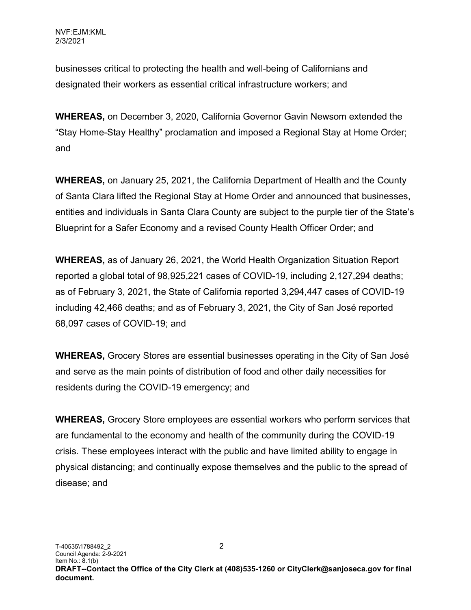businesses critical to protecting the health and well-being of Californians and designated their workers as essential critical infrastructure workers; and

WHEREAS, on December 3, 2020, California Governor Gavin Newsom extended the "Stay Home-Stay Healthy" proclamation and imposed a Regional Stay at Home Order; and

WHEREAS, on January 25, 2021, the California Department of Health and the County of Santa Clara lifted the Regional Stay at Home Order and announced that businesses, entities and individuals in Santa Clara County are subject to the purple tier of the State's Blueprint for a Safer Economy and a revised County Health Officer Order; and

WHEREAS, as of January 26, 2021, the World Health Organization Situation Report reported a global total of 98,925,221 cases of COVID-19, including 2,127,294 deaths; as of February 3, 2021, the State of California reported 3,294,447 cases of COVID-19 including 42,466 deaths; and as of February 3, 2021, the City of San José reported 68,097 cases of COVID-19; and

WHEREAS, Grocery Stores are essential businesses operating in the City of San José and serve as the main points of distribution of food and other daily necessities for residents during the COVID-19 emergency; and

WHEREAS, Grocery Store employees are essential workers who perform services that are fundamental to the economy and health of the community during the COVID-19 crisis. These employees interact with the public and have limited ability to engage in physical distancing; and continually expose themselves and the public to the spread of disease; and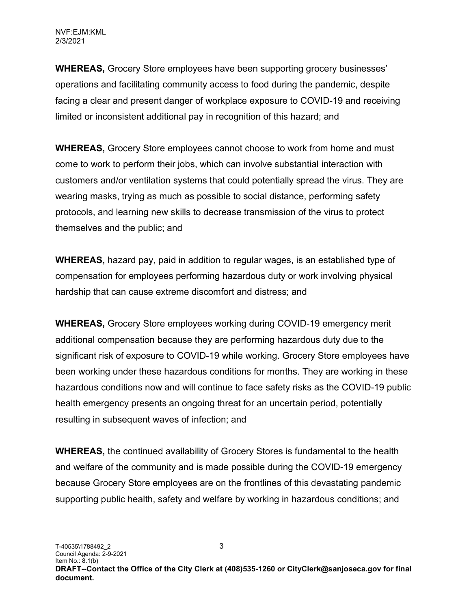WHEREAS, Grocery Store employees have been supporting grocery businesses' operations and facilitating community access to food during the pandemic, despite facing a clear and present danger of workplace exposure to COVID-19 and receiving limited or inconsistent additional pay in recognition of this hazard; and

WHEREAS, Grocery Store employees cannot choose to work from home and must come to work to perform their jobs, which can involve substantial interaction with customers and/or ventilation systems that could potentially spread the virus. They are wearing masks, trying as much as possible to social distance, performing safety protocols, and learning new skills to decrease transmission of the virus to protect themselves and the public; and

WHEREAS, hazard pay, paid in addition to regular wages, is an established type of compensation for employees performing hazardous duty or work involving physical hardship that can cause extreme discomfort and distress; and

WHEREAS, Grocery Store employees working during COVID-19 emergency merit additional compensation because they are performing hazardous duty due to the significant risk of exposure to COVID-19 while working. Grocery Store employees have been working under these hazardous conditions for months. They are working in these hazardous conditions now and will continue to face safety risks as the COVID-19 public health emergency presents an ongoing threat for an uncertain period, potentially resulting in subsequent waves of infection; and

WHEREAS, the continued availability of Grocery Stores is fundamental to the health and welfare of the community and is made possible during the COVID-19 emergency because Grocery Store employees are on the frontlines of this devastating pandemic supporting public health, safety and welfare by working in hazardous conditions; and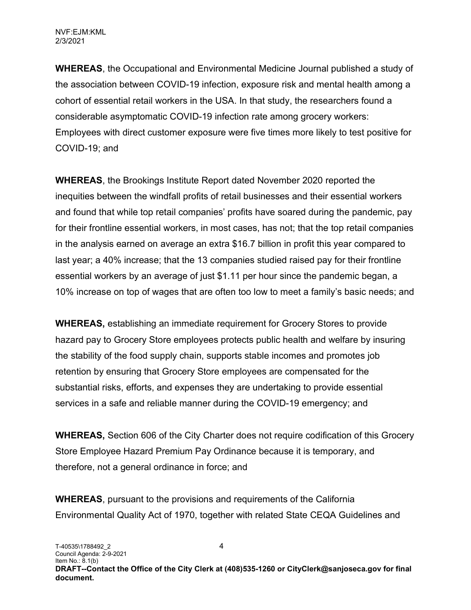WHEREAS, the Occupational and Environmental Medicine Journal published a study of the association between COVID-19 infection, exposure risk and mental health among a cohort of essential retail workers in the USA. In that study, the researchers found a considerable asymptomatic COVID-19 infection rate among grocery workers: Employees with direct customer exposure were five times more likely to test positive for COVID-19; and

WHEREAS, the Brookings Institute Report dated November 2020 reported the inequities between the windfall profits of retail businesses and their essential workers and found that while top retail companies' profits have soared during the pandemic, pay for their frontline essential workers, in most cases, has not; that the top retail companies in the analysis earned on average an extra \$16.7 billion in profit this year compared to last year; a 40% increase; that the 13 companies studied raised pay for their frontline essential workers by an average of just \$1.11 per hour since the pandemic began, a 10% increase on top of wages that are often too low to meet a family's basic needs; and

WHEREAS, establishing an immediate requirement for Grocery Stores to provide hazard pay to Grocery Store employees protects public health and welfare by insuring the stability of the food supply chain, supports stable incomes and promotes job retention by ensuring that Grocery Store employees are compensated for the substantial risks, efforts, and expenses they are undertaking to provide essential services in a safe and reliable manner during the COVID-19 emergency; and

WHEREAS, Section 606 of the City Charter does not require codification of this Grocery Store Employee Hazard Premium Pay Ordinance because it is temporary, and therefore, not a general ordinance in force; and

WHEREAS, pursuant to the provisions and requirements of the California Environmental Quality Act of 1970, together with related State CEQA Guidelines and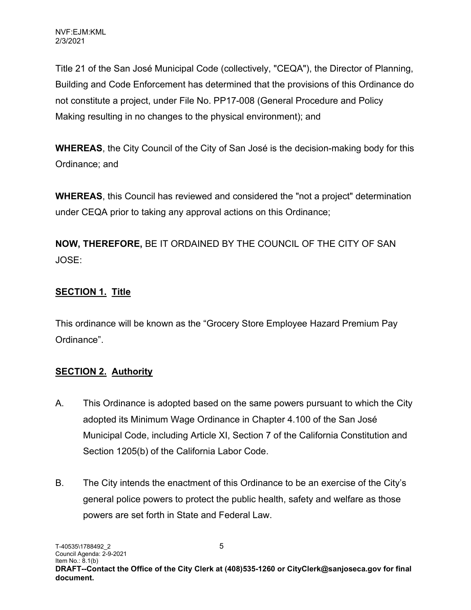Title 21 of the San José Municipal Code (collectively, "CEQA"), the Director of Planning, Building and Code Enforcement has determined that the provisions of this Ordinance do not constitute a project, under File No. PP17-008 (General Procedure and Policy Making resulting in no changes to the physical environment); and

WHEREAS, the City Council of the City of San José is the decision-making body for this Ordinance; and

WHEREAS, this Council has reviewed and considered the "not a project" determination under CEQA prior to taking any approval actions on this Ordinance;

NOW, THEREFORE, BE IT ORDAINED BY THE COUNCIL OF THE CITY OF SAN JOSE:

# SECTION 1. Title

This ordinance will be known as the "Grocery Store Employee Hazard Premium Pay Ordinance".

## **SECTION 2. Authority**

- A. This Ordinance is adopted based on the same powers pursuant to which the City adopted its Minimum Wage Ordinance in Chapter 4.100 of the San José Municipal Code, including Article XI, Section 7 of the California Constitution and Section 1205(b) of the California Labor Code.
- B. The City intends the enactment of this Ordinance to be an exercise of the City's general police powers to protect the public health, safety and welfare as those powers are set forth in State and Federal Law.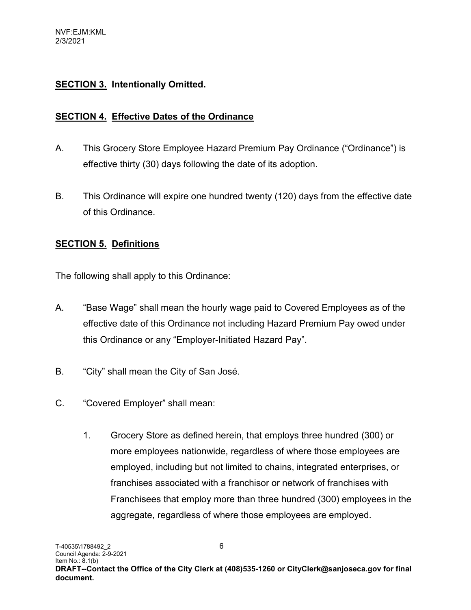#### **SECTION 3. Intentionally Omitted.**

#### SECTION 4. Effective Dates of the Ordinance

- A. This Grocery Store Employee Hazard Premium Pay Ordinance ("Ordinance") is effective thirty (30) days following the date of its adoption.
- B. This Ordinance will expire one hundred twenty (120) days from the effective date of this Ordinance.

#### SECTION 5. Definitions

The following shall apply to this Ordinance:

- A. "Base Wage" shall mean the hourly wage paid to Covered Employees as of the effective date of this Ordinance not including Hazard Premium Pay owed under this Ordinance or any "Employer-Initiated Hazard Pay".
- B. "City" shall mean the City of San José.
- C. "Covered Employer" shall mean:
	- 1. Grocery Store as defined herein, that employs three hundred (300) or more employees nationwide, regardless of where those employees are employed, including but not limited to chains, integrated enterprises, or franchises associated with a franchisor or network of franchises with Franchisees that employ more than three hundred (300) employees in the aggregate, regardless of where those employees are employed.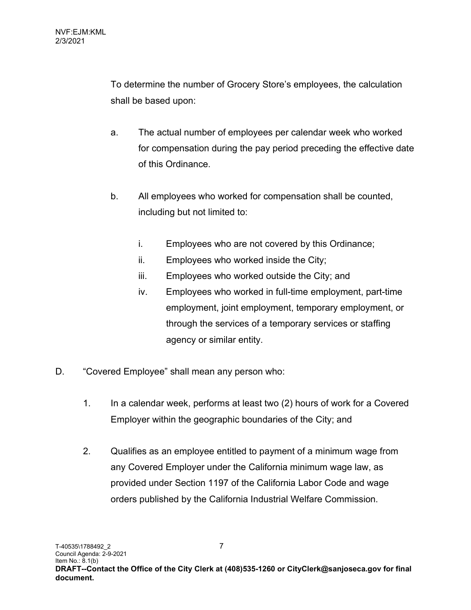To determine the number of Grocery Store's employees, the calculation shall be based upon:

- a. The actual number of employees per calendar week who worked for compensation during the pay period preceding the effective date of this Ordinance.
- b. All employees who worked for compensation shall be counted, including but not limited to:
	- i. Employees who are not covered by this Ordinance;
	- ii. Employees who worked inside the City;
	- iii. Employees who worked outside the City; and
	- iv. Employees who worked in full-time employment, part-time employment, joint employment, temporary employment, or through the services of a temporary services or staffing agency or similar entity.
- D. "Covered Employee" shall mean any person who:
	- 1. In a calendar week, performs at least two (2) hours of work for a Covered Employer within the geographic boundaries of the City; and
	- 2. Qualifies as an employee entitled to payment of a minimum wage from any Covered Employer under the California minimum wage law, as provided under Section 1197 of the California Labor Code and wage orders published by the California Industrial Welfare Commission.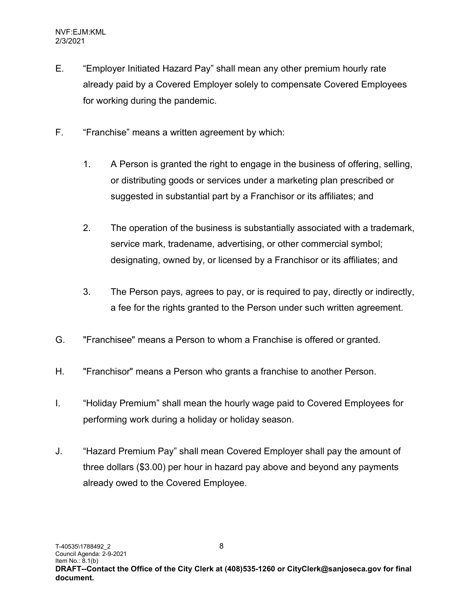- E. "Employer Initiated Hazard Pay" shall mean any other premium hourly rate already paid by a Covered Employer solely to compensate Covered Employees for working during the pandemic.
- F. "Franchise" means a written agreement by which:
	- 1. A Person is granted the right to engage in the business of offering, selling, or distributing goods or services under a marketing plan prescribed or suggested in substantial part by a Franchisor or its affiliates; and
	- 2. The operation of the business is substantially associated with a trademark, service mark, tradename, advertising, or other commercial symbol; designating, owned by, or licensed by a Franchisor or its affiliates; and
	- 3. The Person pays, agrees to pay, or is required to pay, directly or indirectly, a fee for the rights granted to the Person under such written agreement.
- G. "Franchisee" means a Person to whom a Franchise is offered or granted.
- H. "Franchisor" means a Person who grants a franchise to another Person.
- I. "Holiday Premium" shall mean the hourly wage paid to Covered Employees for performing work during a holiday or holiday season.
- J. "Hazard Premium Pay" shall mean Covered Employer shall pay the amount of three dollars (\$3.00) per hour in hazard pay above and beyond any payments already owed to the Covered Employee.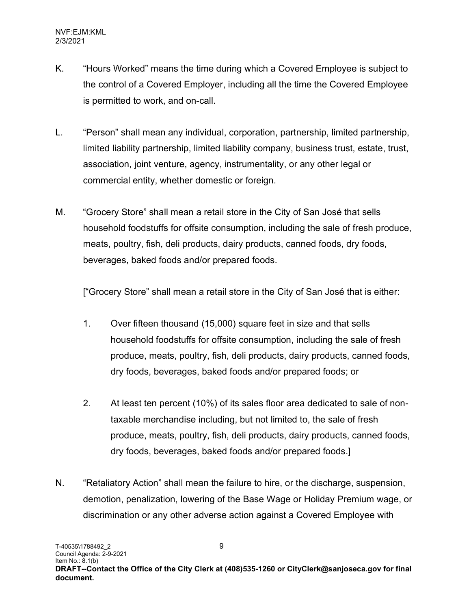- K. "Hours Worked" means the time during which a Covered Employee is subject to the control of a Covered Employer, including all the time the Covered Employee is permitted to work, and on-call.
- L. "Person" shall mean any individual, corporation, partnership, limited partnership, limited liability partnership, limited liability company, business trust, estate, trust, association, joint venture, agency, instrumentality, or any other legal or commercial entity, whether domestic or foreign.
- M. "Grocery Store" shall mean a retail store in the City of San José that sells household foodstuffs for offsite consumption, including the sale of fresh produce, meats, poultry, fish, deli products, dairy products, canned foods, dry foods, beverages, baked foods and/or prepared foods.

["Grocery Store" shall mean a retail store in the City of San José that is either:

- 1. Over fifteen thousand (15,000) square feet in size and that sells household foodstuffs for offsite consumption, including the sale of fresh produce, meats, poultry, fish, deli products, dairy products, canned foods, dry foods, beverages, baked foods and/or prepared foods; or
- 2. At least ten percent (10%) of its sales floor area dedicated to sale of nontaxable merchandise including, but not limited to, the sale of fresh produce, meats, poultry, fish, deli products, dairy products, canned foods, dry foods, beverages, baked foods and/or prepared foods.]
- N. "Retaliatory Action" shall mean the failure to hire, or the discharge, suspension, demotion, penalization, lowering of the Base Wage or Holiday Premium wage, or discrimination or any other adverse action against a Covered Employee with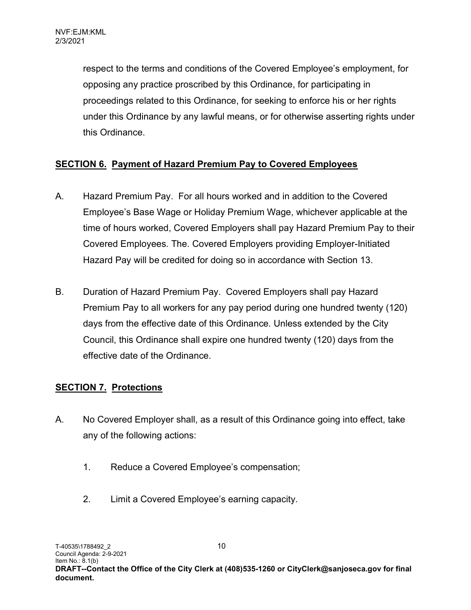respect to the terms and conditions of the Covered Employee's employment, for opposing any practice proscribed by this Ordinance, for participating in proceedings related to this Ordinance, for seeking to enforce his or her rights under this Ordinance by any lawful means, or for otherwise asserting rights under this Ordinance.

## SECTION 6. Payment of Hazard Premium Pay to Covered Employees

- A. Hazard Premium Pay. For all hours worked and in addition to the Covered Employee's Base Wage or Holiday Premium Wage, whichever applicable at the time of hours worked, Covered Employers shall pay Hazard Premium Pay to their Covered Employees. The. Covered Employers providing Employer-Initiated Hazard Pay will be credited for doing so in accordance with Section 13.
- B. Duration of Hazard Premium Pay. Covered Employers shall pay Hazard Premium Pay to all workers for any pay period during one hundred twenty (120) days from the effective date of this Ordinance. Unless extended by the City Council, this Ordinance shall expire one hundred twenty (120) days from the effective date of the Ordinance.

## SECTION 7. Protections

- A. No Covered Employer shall, as a result of this Ordinance going into effect, take any of the following actions:
	- 1. Reduce a Covered Employee's compensation;
	- 2. Limit a Covered Employee's earning capacity.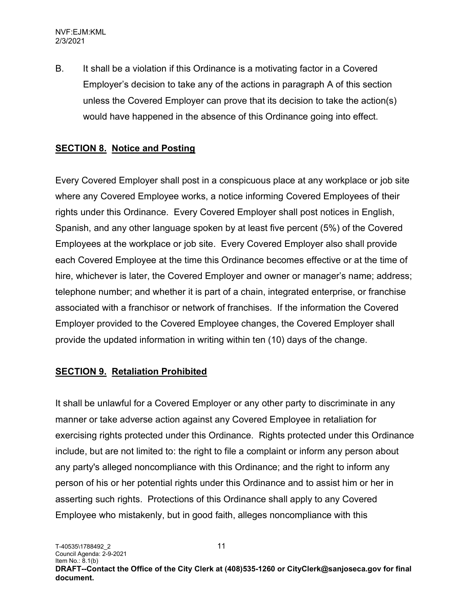B. It shall be a violation if this Ordinance is a motivating factor in a Covered Employer's decision to take any of the actions in paragraph A of this section unless the Covered Employer can prove that its decision to take the action(s) would have happened in the absence of this Ordinance going into effect.

#### SECTION 8. Notice and Posting

Every Covered Employer shall post in a conspicuous place at any workplace or job site where any Covered Employee works, a notice informing Covered Employees of their rights under this Ordinance. Every Covered Employer shall post notices in English, Spanish, and any other language spoken by at least five percent (5%) of the Covered Employees at the workplace or job site. Every Covered Employer also shall provide each Covered Employee at the time this Ordinance becomes effective or at the time of hire, whichever is later, the Covered Employer and owner or manager's name; address; telephone number; and whether it is part of a chain, integrated enterprise, or franchise associated with a franchisor or network of franchises. If the information the Covered Employer provided to the Covered Employee changes, the Covered Employer shall provide the updated information in writing within ten (10) days of the change.

#### SECTION 9. Retaliation Prohibited

It shall be unlawful for a Covered Employer or any other party to discriminate in any manner or take adverse action against any Covered Employee in retaliation for exercising rights protected under this Ordinance. Rights protected under this Ordinance include, but are not limited to: the right to file a complaint or inform any person about any party's alleged noncompliance with this Ordinance; and the right to inform any person of his or her potential rights under this Ordinance and to assist him or her in asserting such rights. Protections of this Ordinance shall apply to any Covered Employee who mistakenly, but in good faith, alleges noncompliance with this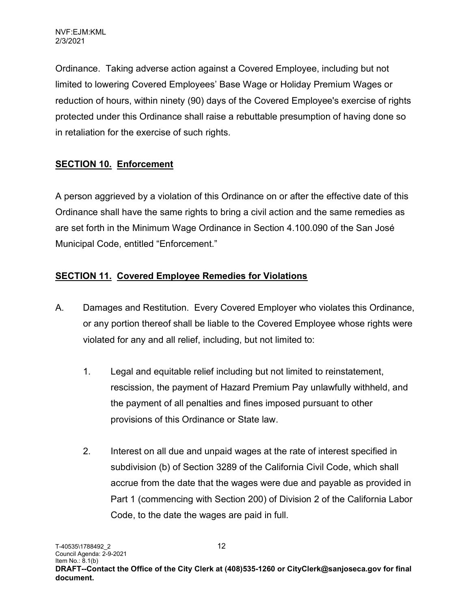Ordinance. Taking adverse action against a Covered Employee, including but not limited to lowering Covered Employees' Base Wage or Holiday Premium Wages or reduction of hours, within ninety (90) days of the Covered Employee's exercise of rights protected under this Ordinance shall raise a rebuttable presumption of having done so in retaliation for the exercise of such rights.

## SECTION 10. Enforcement

A person aggrieved by a violation of this Ordinance on or after the effective date of this Ordinance shall have the same rights to bring a civil action and the same remedies as are set forth in the Minimum Wage Ordinance in Section 4.100.090 of the San José Municipal Code, entitled "Enforcement."

## SECTION 11. Covered Employee Remedies for Violations

- A. Damages and Restitution. Every Covered Employer who violates this Ordinance, or any portion thereof shall be liable to the Covered Employee whose rights were violated for any and all relief, including, but not limited to:
	- 1. Legal and equitable relief including but not limited to reinstatement, rescission, the payment of Hazard Premium Pay unlawfully withheld, and the payment of all penalties and fines imposed pursuant to other provisions of this Ordinance or State law.
	- 2. Interest on all due and unpaid wages at the rate of interest specified in subdivision (b) of Section 3289 of the California Civil Code, which shall accrue from the date that the wages were due and payable as provided in Part 1 (commencing with Section 200) of Division 2 of the California Labor Code, to the date the wages are paid in full.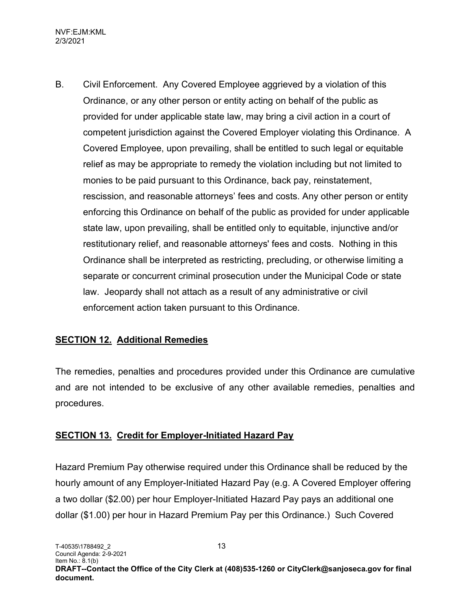B. Civil Enforcement. Any Covered Employee aggrieved by a violation of this Ordinance, or any other person or entity acting on behalf of the public as provided for under applicable state law, may bring a civil action in a court of competent jurisdiction against the Covered Employer violating this Ordinance. A Covered Employee, upon prevailing, shall be entitled to such legal or equitable relief as may be appropriate to remedy the violation including but not limited to monies to be paid pursuant to this Ordinance, back pay, reinstatement, rescission, and reasonable attorneys' fees and costs. Any other person or entity enforcing this Ordinance on behalf of the public as provided for under applicable state law, upon prevailing, shall be entitled only to equitable, injunctive and/or restitutionary relief, and reasonable attorneys' fees and costs. Nothing in this Ordinance shall be interpreted as restricting, precluding, or otherwise limiting a separate or concurrent criminal prosecution under the Municipal Code or state law. Jeopardy shall not attach as a result of any administrative or civil enforcement action taken pursuant to this Ordinance.

#### **SECTION 12. Additional Remedies**

The remedies, penalties and procedures provided under this Ordinance are cumulative and are not intended to be exclusive of any other available remedies, penalties and procedures.

#### SECTION 13. Credit for Employer-Initiated Hazard Pay

Hazard Premium Pay otherwise required under this Ordinance shall be reduced by the hourly amount of any Employer-Initiated Hazard Pay (e.g. A Covered Employer offering a two dollar (\$2.00) per hour Employer-Initiated Hazard Pay pays an additional one dollar (\$1.00) per hour in Hazard Premium Pay per this Ordinance.) Such Covered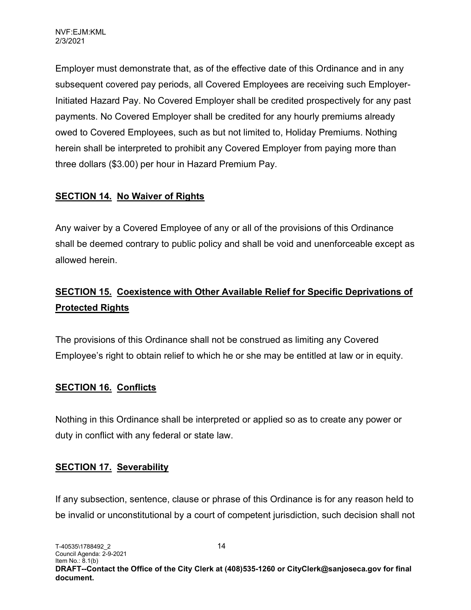Employer must demonstrate that, as of the effective date of this Ordinance and in any subsequent covered pay periods, all Covered Employees are receiving such Employer-Initiated Hazard Pay. No Covered Employer shall be credited prospectively for any past payments. No Covered Employer shall be credited for any hourly premiums already owed to Covered Employees, such as but not limited to, Holiday Premiums. Nothing herein shall be interpreted to prohibit any Covered Employer from paying more than three dollars (\$3.00) per hour in Hazard Premium Pay.

## SECTION 14. No Waiver of Rights

Any waiver by a Covered Employee of any or all of the provisions of this Ordinance shall be deemed contrary to public policy and shall be void and unenforceable except as allowed herein.

# SECTION 15. Coexistence with Other Available Relief for Specific Deprivations of Protected Rights

The provisions of this Ordinance shall not be construed as limiting any Covered Employee's right to obtain relief to which he or she may be entitled at law or in equity.

#### SECTION 16. Conflicts

Nothing in this Ordinance shall be interpreted or applied so as to create any power or duty in conflict with any federal or state law.

#### SECTION 17. Severability

If any subsection, sentence, clause or phrase of this Ordinance is for any reason held to be invalid or unconstitutional by a court of competent jurisdiction, such decision shall not